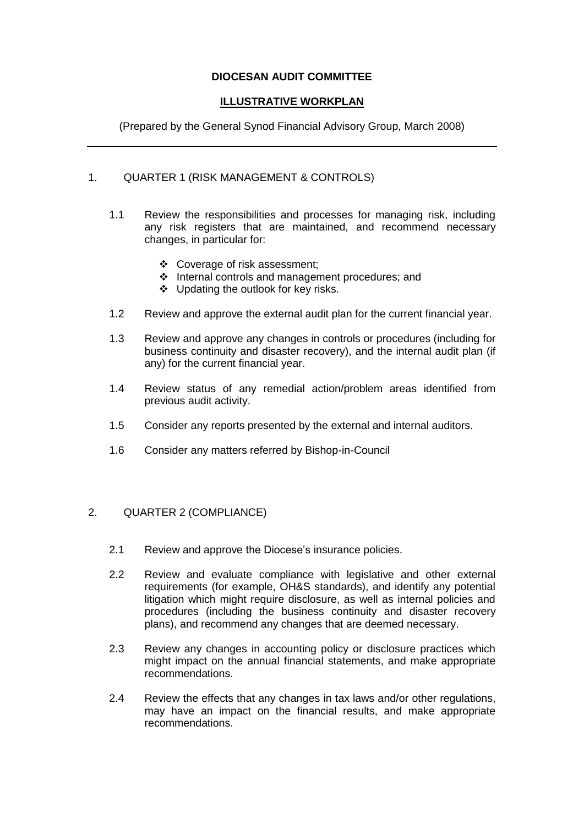# **DIOCESAN AUDIT COMMITTEE**

# **ILLUSTRATIVE WORKPLAN**

(Prepared by the General Synod Financial Advisory Group, March 2008)

# 1. QUARTER 1 (RISK MANAGEMENT & CONTROLS)

- 1.1 Review the responsibilities and processes for managing risk, including any risk registers that are maintained, and recommend necessary changes, in particular for:
	- Coverage of risk assessment;
	- Internal controls and management procedures; and
	- ❖ Updating the outlook for key risks.
- 1.2 Review and approve the external audit plan for the current financial year.
- 1.3 Review and approve any changes in controls or procedures (including for business continuity and disaster recovery), and the internal audit plan (if any) for the current financial year.
- 1.4 Review status of any remedial action/problem areas identified from previous audit activity.
- 1.5 Consider any reports presented by the external and internal auditors.
- 1.6 Consider any matters referred by Bishop-in-Council

### 2. QUARTER 2 (COMPLIANCE)

- 2.1 Review and approve the Diocese's insurance policies.
- 2.2 Review and evaluate compliance with legislative and other external requirements (for example, OH&S standards), and identify any potential litigation which might require disclosure, as well as internal policies and procedures (including the business continuity and disaster recovery plans), and recommend any changes that are deemed necessary.
- 2.3 Review any changes in accounting policy or disclosure practices which might impact on the annual financial statements, and make appropriate recommendations.
- 2.4 Review the effects that any changes in tax laws and/or other regulations, may have an impact on the financial results, and make appropriate recommendations.